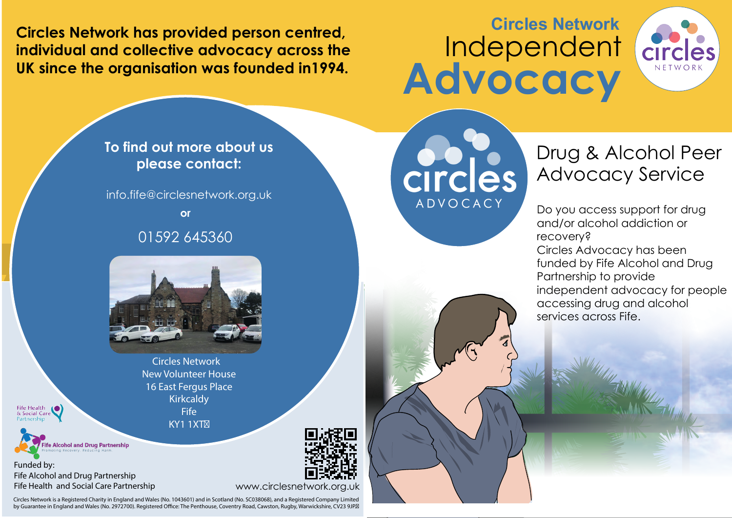**Circles Network has provided person centred, individual and collective advocacy across the UK since the organisation was founded in1994.** 

## **Circles Network** Independent **Advocacy**





Circles Network is a Registered Charity in England and Wales (No. 1043601) and in Scotland (No. SC038068), and a Registered Company Limited by Guarantee in England and Wales (No. 2972700). Registered Office: The Penthouse, Coventry Road, Cawston, Rugby, Warwickshire, CV23 9JP.